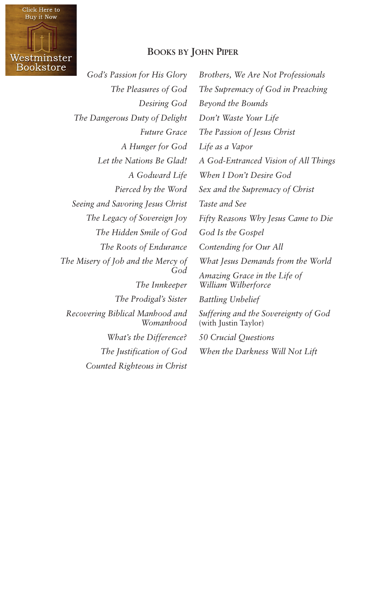

#### **BOOKS BY JOHN PIPER**

*God's Passion for His Glory The Pleasures of God Desiring God The Dangerous Duty of Delight Future Grace A Hunger for God Let the Nations Be Glad! A Godward Life Pierced by the Word Seeing and Savoring Jesus Christ The Legacy of Sovereign Joy The Hidden Smile of God The Roots of Endurance The Misery of Job and the Mercy of God The Innkeeper The Prodigal's Sister Recovering Biblical Manhood and Womanhood What's the Difference? The Justification of God Counted Righteous in Christ*

*Brothers, We Are Not Professionals The Supremacy of God in Preaching Beyond the Bounds Don't Waste Your Life The Passion of Jesus Christ Life as a Vapor A God-Entranced Vision of All Things When I Don't Desire God Sex and the Supremacy of Christ Taste and See Fifty Reasons Why Jesus Came to Die God Is the Gospel Contending for Our All What Jesus Demands from the World Amazing Grace in the Life of William Wilberforce Battling Unbelief Suffering and the Sovereignty of God*  (with Justin Taylor) *50 Crucial Questions When the Darkness Will Not Lift*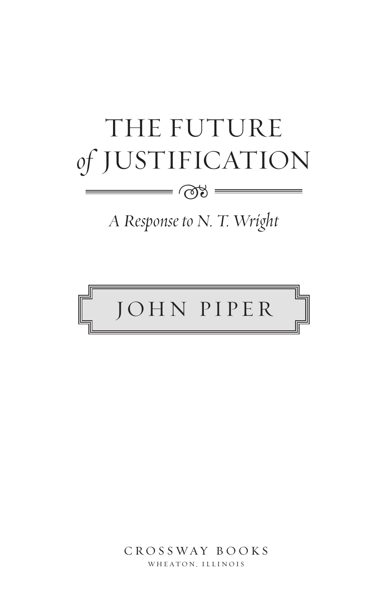



CROSSWAY BOOKS WHEATON, ILLINOIS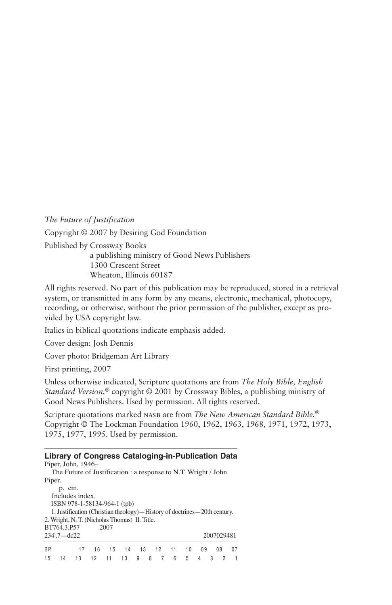*The Future of Justification*

Copyright © 2007 by Desiring God Foundation

Published by Crossway Books a publishing ministry of Good News Publishers 1300 Crescent Street Wheaton, Illinois 60187

All rights reserved. No part of this publication may be reproduced, stored in a retrieval system, or transmitted in any form by any means, electronic, mechanical, photocopy, recording, or otherwise, without the prior permission of the publisher, except as provided by USA copyright law.

Italics in biblical quotations indicate emphasis added.

Cover design: Josh Dennis

Cover photo: Bridgeman Art Library

First printing, 2007

Unless otherwise indicated, Scripture quotations are from *The Holy Bible, English Standard Version,*® copyright © 2001 by Crossway Bibles, a publishing ministry of Good News Publishers. Used by permission. All rights reserved.

Scripture quotations marked NASB are from *The New American Standard Bible*.<sup>®</sup> Copyright © The Lockman Foundation 1960, 1962, 1963, 1968, 1971, 1972, 1973, 1975, 1977, 1995. Used by permission.

| Library of Congress Cataloging-in-Publication Data                                                                                                                               |                           |  |  |  |  |  |  |  |  |  |  |  |  |  |                                   |    |                 |  |  |                |  |  |                |   |       |    |   |    |    |
|----------------------------------------------------------------------------------------------------------------------------------------------------------------------------------|---------------------------|--|--|--|--|--|--|--|--|--|--|--|--|--|-----------------------------------|----|-----------------|--|--|----------------|--|--|----------------|---|-------|----|---|----|----|
|                                                                                                                                                                                  | Piper, John, 1946–        |  |  |  |  |  |  |  |  |  |  |  |  |  |                                   |    |                 |  |  |                |  |  |                |   |       |    |   |    |    |
| The Future of Justification : a response to N.T. Wright / John                                                                                                                   |                           |  |  |  |  |  |  |  |  |  |  |  |  |  |                                   |    |                 |  |  |                |  |  |                |   |       |    |   |    |    |
| Piper.                                                                                                                                                                           |                           |  |  |  |  |  |  |  |  |  |  |  |  |  |                                   |    |                 |  |  |                |  |  |                |   |       |    |   |    |    |
|                                                                                                                                                                                  | p. cm.<br>Includes index. |  |  |  |  |  |  |  |  |  |  |  |  |  |                                   |    |                 |  |  |                |  |  |                |   |       |    |   |    |    |
|                                                                                                                                                                                  |                           |  |  |  |  |  |  |  |  |  |  |  |  |  |                                   |    |                 |  |  |                |  |  |                |   |       |    |   |    |    |
| ISBN 978-1-58134-964-1 (tpb)<br>1. Justification (Christian theology)—History of doctrines—20th century.<br>2. Wright, N. T. (Nicholas Thomas) II. Title.<br>BT764.3.P57<br>2007 |                           |  |  |  |  |  |  |  |  |  |  |  |  |  |                                   |    |                 |  |  |                |  |  |                |   |       |    |   |    |    |
|                                                                                                                                                                                  |                           |  |  |  |  |  |  |  |  |  |  |  |  |  | $234'$ : $7 - dc22$<br>2007029481 |    |                 |  |  |                |  |  |                |   |       |    |   |    |    |
|                                                                                                                                                                                  |                           |  |  |  |  |  |  |  |  |  |  |  |  |  | BP                                |    | 17              |  |  | 16 15 14 13 12 |  |  |                |   | 11 10 | 09 |   | 08 | 07 |
|                                                                                                                                                                                  |                           |  |  |  |  |  |  |  |  |  |  |  |  |  | 15                                | 14 | 13 12 11 10 9 8 |  |  |                |  |  | $\overline{7}$ | 6 | 5     | 4  | 3 | 2  |    |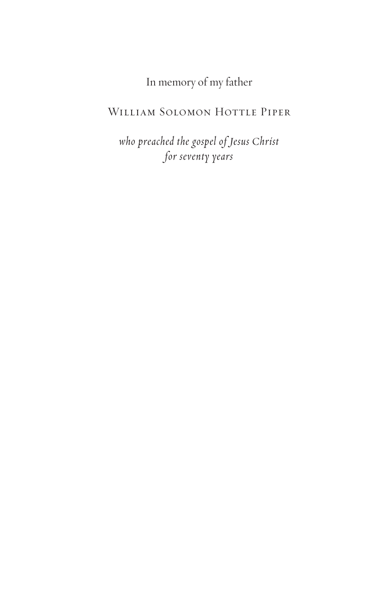In memory of my father

# WILLIAM SOLOMON HOTTLE PIPER

who preached the gospel of Jesus Christ  $for$  seventy years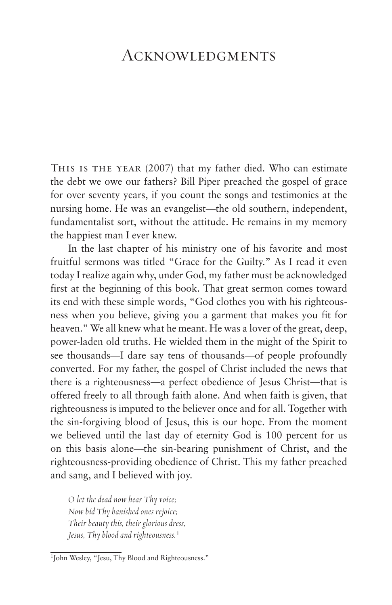# ACKNOWLEDGMENTS

THIS IS THE YEAR (2007) that my father died. Who can estimate the debt we owe our fathers? Bill Piper preached the gospel of grace for over seventy years, if you count the songs and testimonies at the nursing home. He was an evangelist—the old southern, independent, fundamentalist sort, without the attitude. He remains in my memory the happiest man I ever knew.

In the last chapter of his ministry one of his favorite and most fruitful sermons was titled "Grace for the Guilty." As I read it even today I realize again why, under God, my father must be acknowledged first at the beginning of this book. That great sermon comes toward its end with these simple words, "God clothes you with his righteousness when you believe, giving you a garment that makes you fit for heaven." We all knew what he meant. He was a lover of the great, deep, power-laden old truths. He wielded them in the might of the Spirit to see thousands—I dare say tens of thousands—of people profoundly converted. For my father, the gospel of Christ included the news that there is a righteousness—a perfect obedience of Jesus Christ—that is offered freely to all through faith alone. And when faith is given, that righteousness is imputed to the believer once and for all. Together with the sin-forgiving blood of Jesus, this is our hope. From the moment we believed until the last day of eternity God is 100 percent for us on this basis alone—the sin-bearing punishment of Christ, and the righteousness-providing obedience of Christ. This my father preached and sang, and I believed with joy.

O let the dead now hear Thy voice; Now bid Thy banished ones rejoice; Their beauty this, their glorious dress, *Jesus, Thy blood and righteousness.*<sup>1</sup>

<sup>&</sup>lt;sup>1</sup>John Wesley, "Jesu, Thy Blood and Righteousness."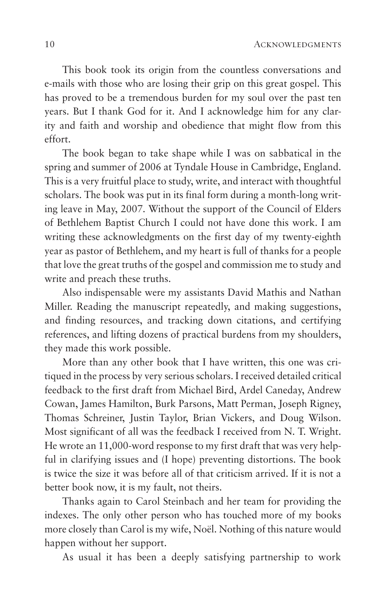This book took its origin from the countless conversations and e-mails with those who are losing their grip on this great gospel. This has proved to be a tremendous burden for my soul over the past ten years. But I thank God for it. And I acknowledge him for any clarity and faith and worship and obedience that might flow from this effort.

The book began to take shape while I was on sabbatical in the spring and summer of 2006 at Tyndale House in Cambridge, England. This is a very fruitful place to study, write, and interact with thoughtful scholars. The book was put in its final form during a month-long writing leave in May, 2007. Without the support of the Council of Elders of Bethlehem Baptist Church I could not have done this work. I am writing these acknowledgments on the first day of my twenty-eighth year as pastor of Bethlehem, and my heart is full of thanks for a people that love the great truths of the gospel and commission me to study and write and preach these truths.

Also indispensable were my assistants David Mathis and Nathan Miller. Reading the manuscript repeatedly, and making suggestions, and finding resources, and tracking down citations, and certifying references, and lifting dozens of practical burdens from my shoulders, they made this work possible.

More than any other book that I have written, this one was critiqued in the process by very serious scholars. I received detailed critical feedback to the first draft from Michael Bird, Ardel Caneday, Andrew Cowan, James Hamilton, Burk Parsons, Matt Perman, Joseph Rigney, Thomas Schreiner, Justin Taylor, Brian Vickers, and Doug Wilson. Most significant of all was the feedback I received from N. T. Wright. He wrote an 11,000-word response to my first draft that was very helpful in clarifying issues and (I hope) preventing distortions. The book is twice the size it was before all of that criticism arrived. If it is not a better book now, it is my fault, not theirs.

Thanks again to Carol Steinbach and her team for providing the indexes. The only other person who has touched more of my books more closely than Carol is my wife, Noël. Nothing of this nature would happen without her support.

As usual it has been a deeply satisfying partnership to work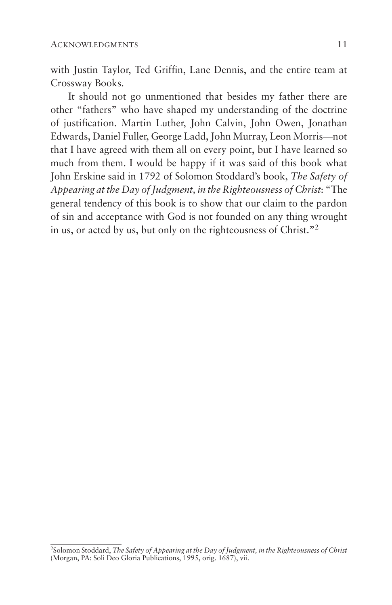with Justin Taylor, Ted Griffin, Lane Dennis, and the entire team at Crossway Books.

It should not go unmentioned that besides my father there are other "fathers" who have shaped my understanding of the doctrine of justification. Martin Luther, John Calvin, John Owen, Jonathan Edwards, Daniel Fuller, George Ladd, John Murray, Leon Morris—not that I have agreed with them all on every point, but I have learned so much from them. I would be happy if it was said of this book what John Erskine said in 1792 of Solomon Stoddard's book, *The Safety of Appearing at the Day of Judgment, in the Righteousness of Christ*: "The general tendency of this book is to show that our claim to the pardon of sin and acceptance with God is not founded on any thing wrought in us, or acted by us, but only on the righteousness of Christ."<sup>2</sup>

<sup>2</sup>Solomon Stoddard, *The Safety of Appearing at the Day of Judgment, in the Righteousness of Christ* (Morgan, PA: Soli Deo Gloria Publications, 1995, orig. 1687), vii.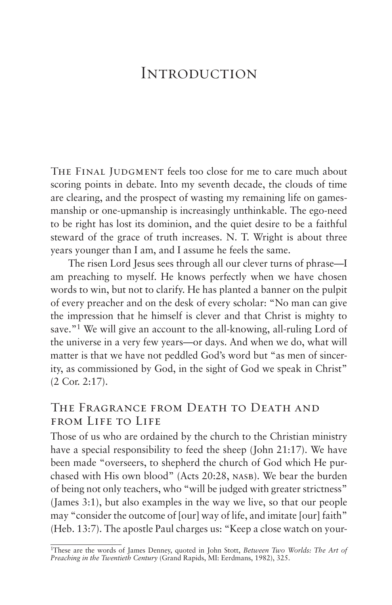# INTRODUCTION

THE FINAL JUDGMENT feels too close for me to care much about scoring points in debate. Into my seventh decade, the clouds of time are clearing, and the prospect of wasting my remaining life on gamesmanship or one-upmanship is increasingly unthinkable. The ego-need to be right has lost its dominion, and the quiet desire to be a faithful steward of the grace of truth increases. N. T. Wright is about three years younger than I am, and I assume he feels the same.

The risen Lord Jesus sees through all our clever turns of phrase—I am preaching to myself. He knows perfectly when we have chosen words to win, but not to clarify. He has planted a banner on the pulpit of every preacher and on the desk of every scholar: "No man can give the impression that he himself is clever and that Christ is mighty to save."<sup>1</sup> We will give an account to the all-knowing, all-ruling Lord of the universe in a very few years—or days. And when we do, what will matter is that we have not peddled God's word but "as men of sincerity, as commissioned by God, in the sight of God we speak in Christ" (2 Cor. 2:17).

# THE FRAGRANCE FROM DEATH TO DEATH AND FROM LIFE TO LIFE

Those of us who are ordained by the church to the Christian ministry have a special responsibility to feed the sheep (John 21:17). We have been made "overseers, to shepherd the church of God which He purchased with His own blood" (Acts 20:28, NASB). We bear the burden of being not only teachers, who "will be judged with greater strictness" (James 3:1), but also examples in the way we live, so that our people may "consider the outcome of [our] way of life, and imitate [our] faith" (Heb. 13:7). The apostle Paul charges us: "Keep a close watch on your-

<sup>1</sup>These are the words of James Denney, quoted in John Stott, *Between Two Worlds: The Art of Preaching in the Twentieth Century* (Grand Rapids, MI: Eerdmans, 1982), 325.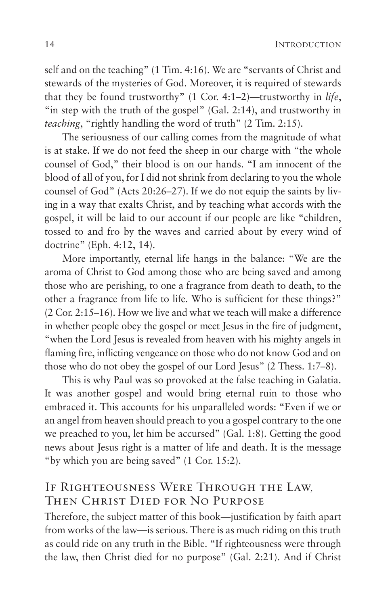self and on the teaching" (1 Tim. 4:16). We are "servants of Christ and stewards of the mysteries of God. Moreover, it is required of stewards that they be found trustworthy" (1 Cor. 4:1–2)—trustworthy in *life*, "in step with the truth of the gospel" (Gal. 2:14), and trustworthy in *teaching*, "rightly handling the word of truth" (2 Tim. 2:15).

The seriousness of our calling comes from the magnitude of what is at stake. If we do not feed the sheep in our charge with "the whole counsel of God," their blood is on our hands. "I am innocent of the blood of all of you, for I did not shrink from declaring to you the whole counsel of God" (Acts 20:26–27). If we do not equip the saints by living in a way that exalts Christ, and by teaching what accords with the gospel, it will be laid to our account if our people are like "children, tossed to and fro by the waves and carried about by every wind of doctrine" (Eph. 4:12, 14).

More importantly, eternal life hangs in the balance: "We are the aroma of Christ to God among those who are being saved and among those who are perishing, to one a fragrance from death to death, to the other a fragrance from life to life. Who is sufficient for these things?" (2 Cor. 2:15–16). How we live and what we teach will make a difference in whether people obey the gospel or meet Jesus in the fire of judgment, "when the Lord Jesus is revealed from heaven with his mighty angels in flaming fire, inflicting vengeance on those who do not know God and on those who do not obey the gospel of our Lord Jesus" (2 Thess. 1:7–8).

This is why Paul was so provoked at the false teaching in Galatia. It was another gospel and would bring eternal ruin to those who embraced it. This accounts for his unparalleled words: "Even if we or an angel from heaven should preach to you a gospel contrary to the one we preached to you, let him be accursed" (Gal. 1:8). Getting the good news about Jesus right is a matter of life and death. It is the message "by which you are being saved" (1 Cor. 15:2).

# IF RIGHTEOUSNESS WERE THROUGH THE LAW, THEN CHRIST DIED FOR NO PURPOSE

Therefore, the subject matter of this book—justification by faith apart from works of the law—is serious. There is as much riding on this truth as could ride on any truth in the Bible. "If righteousness were through the law, then Christ died for no purpose" (Gal. 2:21). And if Christ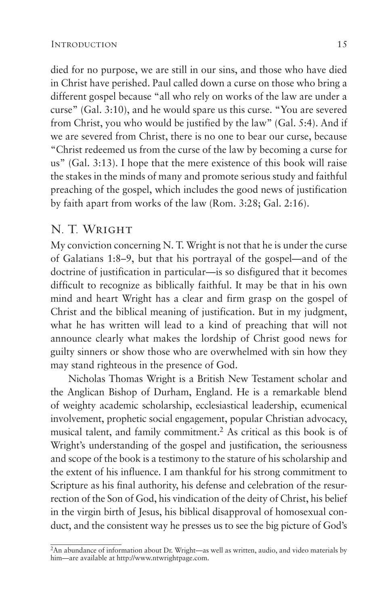died for no purpose, we are still in our sins, and those who have died in Christ have perished. Paul called down a curse on those who bring a different gospel because "all who rely on works of the law are under a curse" (Gal. 3:10), and he would spare us this curse. "You are severed from Christ, you who would be justified by the law" (Gal. 5:4). And if we are severed from Christ, there is no one to bear our curse, because "Christ redeemed us from the curse of the law by becoming a curse for us" (Gal. 3:13). I hope that the mere existence of this book will raise the stakes in the minds of many and promote serious study and faithful preaching of the gospel, which includes the good news of justification by faith apart from works of the law (Rom. 3:28; Gal. 2:16).

### N. T. WRIGHT

My conviction concerning N. T. Wright is not that he is under the curse of Galatians 1:8–9, but that his portrayal of the gospel—and of the doctrine of justification in particular—is so disfigured that it becomes difficult to recognize as biblically faithful. It may be that in his own mind and heart Wright has a clear and firm grasp on the gospel of Christ and the biblical meaning of justification. But in my judgment, what he has written will lead to a kind of preaching that will not announce clearly what makes the lordship of Christ good news for guilty sinners or show those who are overwhelmed with sin how they may stand righteous in the presence of God.

Nicholas Thomas Wright is a British New Testament scholar and the Anglican Bishop of Durham, England. He is a remarkable blend of weighty academic scholarship, ecclesiastical leadership, ecumenical involvement, prophetic social engagement, popular Christian advocacy, musical talent, and family commitment.2 As critical as this book is of Wright's understanding of the gospel and justification, the seriousness and scope of the book is a testimony to the stature of his scholarship and the extent of his influence. I am thankful for his strong commitment to Scripture as his final authority, his defense and celebration of the resurrection of the Son of God, his vindication of the deity of Christ, his belief in the virgin birth of Jesus, his biblical disapproval of homosexual conduct, and the consistent way he presses us to see the big picture of God's

<sup>2</sup>An abundance of information about Dr. Wright—as well as written, audio, and video materials by him—are available at http://www.ntwrightpage.com.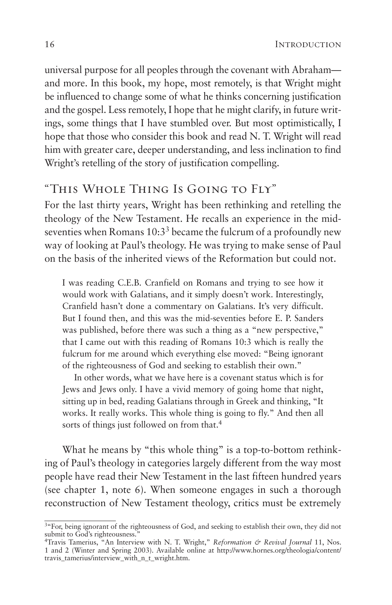universal purpose for all peoples through the covenant with Abraham and more. In this book, my hope, most remotely, is that Wright might be influenced to change some of what he thinks concerning justification and the gospel. Less remotely, I hope that he might clarify, in future writings, some things that I have stumbled over. But most optimistically, I hope that those who consider this book and read N. T. Wright will read him with greater care, deeper understanding, and less inclination to find Wright's retelling of the story of justification compelling.

# "This Whole Thing Is Going to Fly"

For the last thirty years, Wright has been rethinking and retelling the theology of the New Testament. He recalls an experience in the midseventies when Romans 10:33 became the fulcrum of a profoundly new way of looking at Paul's theology. He was trying to make sense of Paul on the basis of the inherited views of the Reformation but could not.

I was reading C.E.B. Cranfield on Romans and trying to see how it would work with Galatians, and it simply doesn't work. Interestingly, Cranfield hasn't done a commentary on Galatians. It's very difficult. But I found then, and this was the mid-seventies before E. P. Sanders was published, before there was such a thing as a "new perspective," that I came out with this reading of Romans 10:3 which is really the fulcrum for me around which everything else moved: "Being ignorant of the righteousness of God and seeking to establish their own."

In other words, what we have here is a covenant status which is for Jews and Jews only. I have a vivid memory of going home that night, sitting up in bed, reading Galatians through in Greek and thinking, "It works. It really works. This whole thing is going to fly." And then all sorts of things just followed on from that.<sup>4</sup>

What he means by "this whole thing" is a top-to-bottom rethinking of Paul's theology in categories largely different from the way most people have read their New Testament in the last fifteen hundred years (see chapter 1, note 6). When someone engages in such a thorough reconstruction of New Testament theology, critics must be extremely

<sup>&</sup>lt;sup>3"</sup>For, being ignorant of the righteousness of God, and seeking to establish their own, they did not submit to God's righteousness."

<sup>4</sup>Travis Tamerius, "An Interview with N. T. Wright," *Reformation & Revival Journal* 11, Nos. 1 and 2 (Winter and Spring 2003). Available online at http://www.hornes.org/theologia/content/ travis\_tamerius/interview\_with\_n\_t\_wright.htm.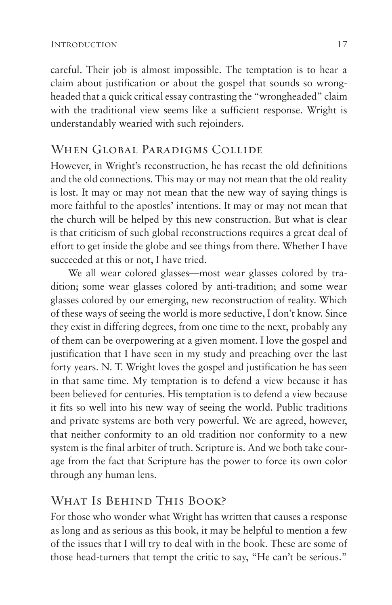careful. Their job is almost impossible. The temptation is to hear a claim about justification or about the gospel that sounds so wrongheaded that a quick critical essay contrasting the "wrongheaded" claim with the traditional view seems like a sufficient response. Wright is understandably wearied with such rejoinders.

### WHEN GLOBAL PARADIGMS COLLIDE

However, in Wright's reconstruction, he has recast the old definitions and the old connections. This may or may not mean that the old reality is lost. It may or may not mean that the new way of saying things is more faithful to the apostles' intentions. It may or may not mean that the church will be helped by this new construction. But what is clear is that criticism of such global reconstructions requires a great deal of effort to get inside the globe and see things from there. Whether I have succeeded at this or not, I have tried.

We all wear colored glasses—most wear glasses colored by tradition; some wear glasses colored by anti-tradition; and some wear glasses colored by our emerging, new reconstruction of reality. Which of these ways of seeing the world is more seductive, I don't know. Since they exist in differing degrees, from one time to the next, probably any of them can be overpowering at a given moment. I love the gospel and justification that I have seen in my study and preaching over the last forty years. N. T. Wright loves the gospel and justification he has seen in that same time. My temptation is to defend a view because it has been believed for centuries. His temptation is to defend a view because it fits so well into his new way of seeing the world. Public traditions and private systems are both very powerful. We are agreed, however, that neither conformity to an old tradition nor conformity to a new system is the final arbiter of truth. Scripture is. And we both take courage from the fact that Scripture has the power to force its own color through any human lens.

### WHAT IS BEHIND THIS BOOK?

For those who wonder what Wright has written that causes a response as long and as serious as this book, it may be helpful to mention a few of the issues that I will try to deal with in the book. These are some of those head-turners that tempt the critic to say, "He can't be serious."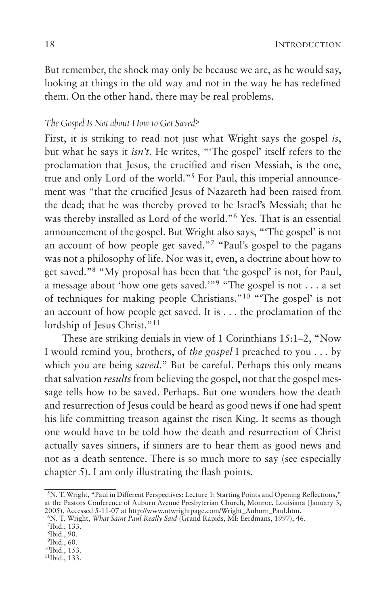But remember, the shock may only be because we are, as he would say, looking at things in the old way and not in the way he has redefined them. On the other hand, there may be real problems.

#### The Gospel Is Not about How to Get Saved?

First, it is striking to read not just what Wright says the gospel *is*, but what he says it *isn't*. He writes, "'The gospel' itself refers to the proclamation that Jesus, the crucified and risen Messiah, is the one, true and only Lord of the world."5 For Paul, this imperial announcement was "that the crucified Jesus of Nazareth had been raised from the dead; that he was thereby proved to be Israel's Messiah; that he was thereby installed as Lord of the world."6 Yes. That is an essential announcement of the gospel. But Wright also says, "'The gospel' is not an account of how people get saved."7 "Paul's gospel to the pagans was not a philosophy of life. Nor was it, even, a doctrine about how to get saved."8 "My proposal has been that 'the gospel' is not, for Paul, a message about 'how one gets saved.'"9 "The gospel is not . . . a set of techniques for making people Christians."10 "'The gospel' is not an account of how people get saved. It is . . . the proclamation of the lordship of Jesus Christ."<sup>11</sup>

These are striking denials in view of 1 Corinthians 15:1–2, "Now I would remind you, brothers, of *the gospel* I preached to you . . . by which you are being *saved*." But be careful. Perhaps this only means that salvation *results* from believing the gospel, not that the gospel message tells how to be saved. Perhaps. But one wonders how the death and resurrection of Jesus could be heard as good news if one had spent his life committing treason against the risen King. It seems as though one would have to be told how the death and resurrection of Christ actually saves sinners, if sinners are to hear them as good news and not as a death sentence. There is so much more to say (see especially chapter 5). I am only illustrating the flash points.

 <sup>5</sup>N. T. Wright, "Paul in Different Perspectives: Lecture 1: Starting Points and Opening Reflections," at the Pastors Conference of Auburn Avenue Presbyterian Church, Monroe, Louisiana (January 3, 2005). Accessed 5-11-07 at http://www.ntwrightpage.com/Wright\_Auburn\_Paul.htm.

<sup>&</sup>lt;sup>6</sup>N. T. Wright, *What Saint Paul Really Said (Gr*and Rapids, MI: Eerdmans, 1997), 46.<br><sup>7</sup>Ibid., 133.<br><sup>8</sup>Ibid., 90. 9Ibid., 60.

<sup>10</sup>Ibid., 153.

<sup>11</sup>Ibid., 133.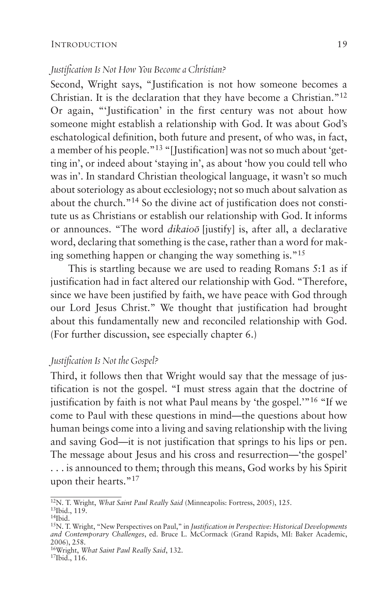#### *Justification Is Not How You Become a Christian?*

Second, Wright says, "Justification is not how someone becomes a Christian. It is the declaration that they have become a Christian."<sup>12</sup> Or again, "'Justification' in the first century was not about how someone might establish a relationship with God. It was about God's eschatological definition, both future and present, of who was, in fact, a member of his people."13 "[Justification] was not so much about 'getting in', or indeed about 'staying in', as about 'how you could tell who was in'. In standard Christian theological language, it wasn't so much about soteriology as about ecclesiology; not so much about salvation as about the church."14 So the divine act of justification does not constitute us as Christians or establish our relationship with God. It informs or announces. "The word *dikaio*ø [justify] is, after all, a declarative word, declaring that something is the case, rather than a word for making something happen or changing the way something is."<sup>15</sup>

This is startling because we are used to reading Romans 5:1 as if justification had in fact altered our relationship with God. "Therefore, since we have been justified by faith, we have peace with God through our Lord Jesus Christ." We thought that justification had brought about this fundamentally new and reconciled relationship with God. (For further discussion, see especially chapter 6.)

#### *Justification Is Not the Gospel?*

Third, it follows then that Wright would say that the message of justification is not the gospel. "I must stress again that the doctrine of justification by faith is not what Paul means by 'the gospel.'"16 "If we come to Paul with these questions in mind—the questions about how human beings come into a living and saving relationship with the living and saving God—it is not justification that springs to his lips or pen. The message about Jesus and his cross and resurrection—'the gospel' . . . is announced to them; through this means, God works by his Spirit upon their hearts."<sup>17</sup>

<sup>12</sup>N. T. Wright, *What Saint Paul Really Said* (Minneapolis: Fortress, 2005), 125.

<sup>13</sup>Ibid., 119.

<sup>14</sup>Ibid.

<sup>15</sup>N. T. Wright, "New Perspectives on Paul," in *Justification in Perspective: Historical Developments and Contemporary Challenges*, ed. Bruce L. McCormack (Grand Rapids, MI: Baker Academic, 2006), 258.

<sup>16</sup>Wright, *What Saint Paul Really Said*, 132.

<sup>17</sup>Ibid., 116.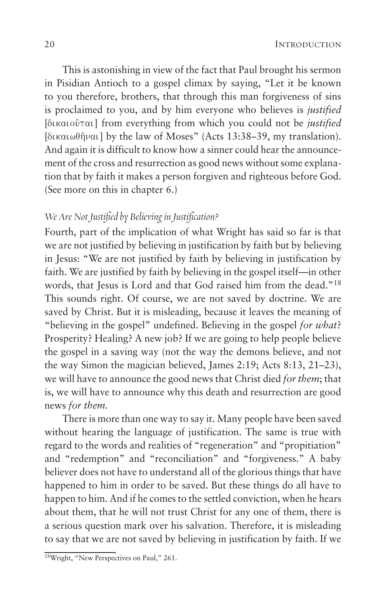This is astonishing in view of the fact that Paul brought his sermon in Pisidian Antioch to a gospel climax by saying, "Let it be known to you therefore, brothers, that through this man forgiveness of sins is proclaimed to you, and by him everyone who believes is *justified* [δικαιοῦται] from everything from which you could not be *justified* [δικαιωθῆναι] by the law of Moses" (Acts 13:38–39, my translation). And again it is difficult to know how a sinner could hear the announcement of the cross and resurrection as good news without some explanation that by faith it makes a person forgiven and righteous before God. (See more on this in chapter 6.)

#### We Are Not Justified by Believing in Justification?

Fourth, part of the implication of what Wright has said so far is that we are not justified by believing in justification by faith but by believing in Jesus: "We are not justified by faith by believing in justification by faith. We are justified by faith by believing in the gospel itself—in other words, that Jesus is Lord and that God raised him from the dead."<sup>18</sup> This sounds right. Of course, we are not saved by doctrine. We are saved by Christ. But it is misleading, because it leaves the meaning of "believing in the gospel" undefined. Believing in the gospel *for what*? Prosperity? Healing? A new job? If we are going to help people believe the gospel in a saving way (not the way the demons believe, and not the way Simon the magician believed, James 2:19; Acts 8:13, 21–23), we will have to announce the good news that Christ died *for them*; that is, we will have to announce why this death and resurrection are good news *for them.*

There is more than one way to say it. Many people have been saved without hearing the language of justification. The same is true with regard to the words and realities of "regeneration" and "propitiation" and "redemption" and "reconciliation" and "forgiveness." A baby believer does not have to understand all of the glorious things that have happened to him in order to be saved. But these things do all have to happen to him. And if he comes to the settled conviction, when he hears about them, that he will not trust Christ for any one of them, there is a serious question mark over his salvation. Therefore, it is misleading to say that we are not saved by believing in justification by faith. If we

<sup>&</sup>lt;sup>18</sup>Wright, "New Perspectives on Paul," 261.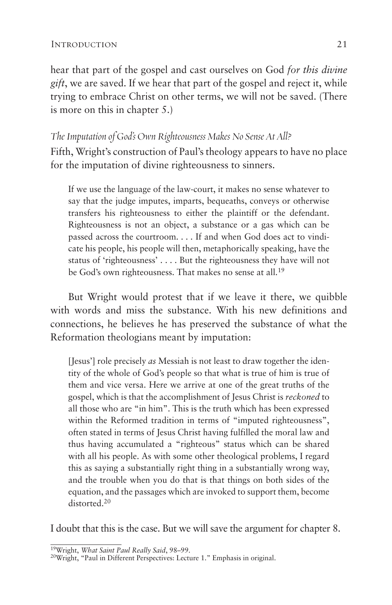#### $NTRODUCTION$  21

hear that part of the gospel and cast ourselves on God *for this divine gift*, we are saved. If we hear that part of the gospel and reject it, while trying to embrace Christ on other terms, we will not be saved. (There is more on this in chapter 5.)

The Imputation of God's Own Righteousness Makes No Sense At All? Fifth, Wright's construction of Paul's theology appears to have no place for the imputation of divine righteousness to sinners.

If we use the language of the law-court, it makes no sense whatever to say that the judge imputes, imparts, bequeaths, conveys or otherwise transfers his righteousness to either the plaintiff or the defendant. Righteousness is not an object, a substance or a gas which can be passed across the courtroom. . . . If and when God does act to vindicate his people, his people will then, metaphorically speaking, have the status of 'righteousness' . . . . But the righteousness they have will not be God's own righteousness. That makes no sense at all.<sup>19</sup>

But Wright would protest that if we leave it there, we quibble with words and miss the substance. With his new definitions and connections, he believes he has preserved the substance of what the Reformation theologians meant by imputation:

[Jesus'] role precisely *as* Messiah is not least to draw together the identity of the whole of God's people so that what is true of him is true of them and vice versa. Here we arrive at one of the great truths of the gospel, which is that the accomplishment of Jesus Christ is *reckoned* to all those who are "in him". This is the truth which has been expressed within the Reformed tradition in terms of "imputed righteousness", often stated in terms of Jesus Christ having fulfilled the moral law and thus having accumulated a "righteous" status which can be shared with all his people. As with some other theological problems, I regard this as saying a substantially right thing in a substantially wrong way, and the trouble when you do that is that things on both sides of the equation, and the passages which are invoked to support them, become distorted.20

I doubt that this is the case. But we will save the argument for chapter 8.

<sup>19</sup>Wright, *What Saint Paul Really Said*, 98–99.

<sup>20</sup>Wright, "Paul in Different Perspectives: Lecture 1." Emphasis in original.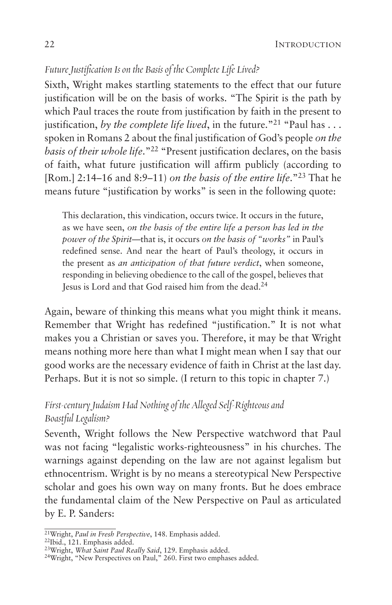$22$   $NTRODUCTION$ 

### Future Justification Is on the Basis of the Complete Life Lived?

Sixth, Wright makes startling statements to the effect that our future justification will be on the basis of works. "The Spirit is the path by which Paul traces the route from justification by faith in the present to justification, *by the complete life lived*, in the future."<sup>21</sup> "Paul has ... spoken in Romans 2 about the final justification of God's people *on the basis of their whole life*."22 "Present justification declares, on the basis of faith, what future justification will affirm publicly (according to [Rom.] 2:14–16 and 8:9–11) *on the basis of the entire life*."23 That he means future "justification by works" is seen in the following quote:

This declaration, this vindication, occurs twice. It occurs in the future, as we have seen, *on the basis of the entire life a person has led in the power of the Spirit*—that is, it occurs *on the basis of "works"* in Paul's redefined sense. And near the heart of Paul's theology, it occurs in the present as *an anticipation of that future verdict*, when someone, responding in believing obedience to the call of the gospel, believes that Jesus is Lord and that God raised him from the dead.<sup>24</sup>

Again, beware of thinking this means what you might think it means. Remember that Wright has redefined "justification." It is not what makes you a Christian or saves you. Therefore, it may be that Wright means nothing more here than what I might mean when I say that our good works are the necessary evidence of faith in Christ at the last day. Perhaps. But it is not so simple. (I return to this topic in chapter 7.)

## First-century Judaism Had Nothing of the Alleged Self-Righteous and Boastful Legalism?

Seventh, Wright follows the New Perspective watchword that Paul was not facing "legalistic works-righteousness" in his churches. The warnings against depending on the law are not against legalism but ethnocentrism. Wright is by no means a stereotypical New Perspective scholar and goes his own way on many fronts. But he does embrace the fundamental claim of the New Perspective on Paul as articulated by E. P. Sanders:

<sup>21</sup>Wright, *Paul in Fresh Perspective*, 148. Emphasis added.

<sup>22</sup>Ibid., 121. Emphasis added.

<sup>23</sup>Wright, *What Saint Paul Really Said*, 129. Emphasis added.

<sup>&</sup>lt;sup>24</sup>Wright, "New Perspectives on Paul," 260. First two emphases added.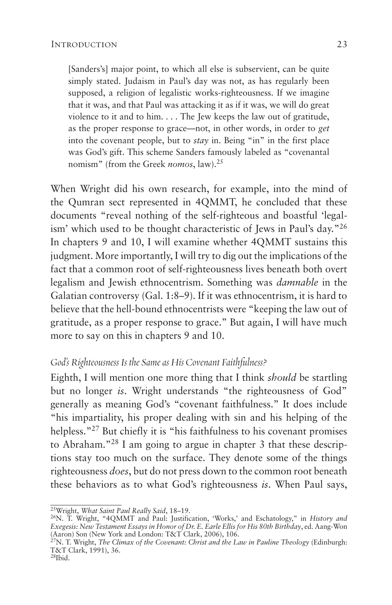[Sanders's] major point, to which all else is subservient, can be quite simply stated. Judaism in Paul's day was not, as has regularly been supposed, a religion of legalistic works-righteousness. If we imagine that it was, and that Paul was attacking it as if it was, we will do great violence to it and to him.  $\ldots$  The Jew keeps the law out of gratitude, as the proper response to grace—not, in other words, in order to *get* into the covenant people, but to *stay* in. Being "in" in the first place was God's gift. This scheme Sanders famously labeled as "covenantal nomism" (from the Greek *nomos*, law).25

When Wright did his own research, for example, into the mind of the Qumran sect represented in 4QMMT, he concluded that these documents "reveal nothing of the self-righteous and boastful 'legalism' which used to be thought characteristic of Jews in Paul's day."<sup>26</sup> In chapters 9 and 10, I will examine whether 4QMMT sustains this judgment. More importantly, I will try to dig out the implications of the fact that a common root of self-righteousness lives beneath both overt legalism and Jewish ethnocentrism. Something was *damnable* in the Galatian controversy (Gal. 1:8–9). If it was ethnocentrism, it is hard to believe that the hell-bound ethnocentrists were "keeping the law out of gratitude, as a proper response to grace." But again, I will have much more to say on this in chapters 9 and 10.

#### God's Righteousness Is the Same as His Covenant Faithfulness?

Eighth, I will mention one more thing that I think *should* be startling but no longer *is*. Wright understands "the righteousness of God" generally as meaning God's "covenant faithfulness." It does include "his impartiality, his proper dealing with sin and his helping of the helpless."<sup>27</sup> But chiefly it is "his faithfulness to his covenant promises to Abraham."28 I am going to argue in chapter 3 that these descriptions stay too much on the surface. They denote some of the things righteousness *does*, but do not press down to the common root beneath these behaviors as to what God's righteousness *is*. When Paul says,

<sup>25</sup>Wright, *What Saint Paul Really Said*, 18–19.

<sup>26</sup>N. T. Wright, "4QMMT and Paul: Justification, 'Works,' and Eschatology," in *History and Exegesis: New Testament Essays in Honor of Dr. E. Earle Ellis for His 80th Birthday*, ed. Aang-Won (Aaron) Son (New York and London: T&T Clark, 2006), 106.

<sup>27</sup>N. T. Wright, *The Climax of the Covenant: Christ and the Law in Pauline Theology* (Edinburgh: T&T Clark, 1991), 36.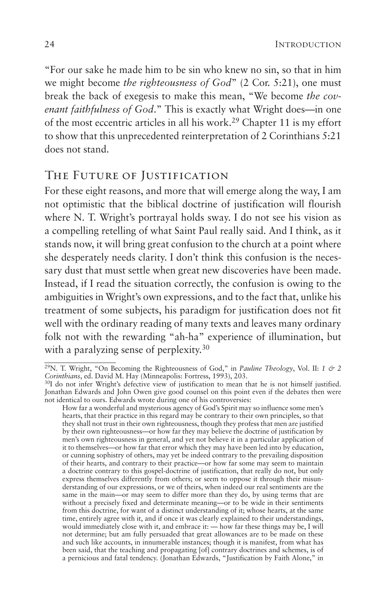"For our sake he made him to be sin who knew no sin, so that in him we might become *the righteousness of God*" (2 Cor. 5:21), one must break the back of exegesis to make this mean, "We become *the covenant faithfulness of God*." This is exactly what Wright does—in one of the most eccentric articles in all his work.29 Chapter 11 is my effort to show that this unprecedented reinterpretation of 2 Corinthians 5:21 does not stand.

# THE FUTURE OF JUSTIFICATION

For these eight reasons, and more that will emerge along the way, I am not optimistic that the biblical doctrine of justification will flourish where N. T. Wright's portrayal holds sway. I do not see his vision as a compelling retelling of what Saint Paul really said. And I think, as it stands now, it will bring great confusion to the church at a point where she desperately needs clarity. I don't think this confusion is the necessary dust that must settle when great new discoveries have been made. Instead, if I read the situation correctly, the confusion is owing to the ambiguities in Wright's own expressions, and to the fact that, unlike his treatment of some subjects, his paradigm for justification does not fit well with the ordinary reading of many texts and leaves many ordinary folk not with the rewarding "ah-ha" experience of illumination, but with a paralyzing sense of perplexity.<sup>30</sup>

<sup>&</sup>lt;sup>29</sup>N. T. Wright, "On Becoming the Righteousness of God," in *Pauline Theology*, Vol. II: 1  $\phi$  2 *Corinthians*, ed. David M. Hay (Minneapolis: Fortress, 1993), 203.

<sup>&</sup>lt;sup>30</sup>I do not infer Wright's defective view of justification to mean that he is not himself justified. Jonathan Edwards and John Owen give good counsel on this point even if the debates then were not identical to ours. Edwards wrote during one of his controversies:

How far a wonderful and mysterious agency of God's Spirit may so influence some men's hearts, that their practice in this regard may be contrary to their own principles, so that they shall not trust in their own righteousness, though they profess that men are justified by their own righteousness—or how far they may believe the doctrine of justification by men's own righteousness in general, and yet not believe it in a particular application of it to themselves—or how far that error which they may have been led into by education, or cunning sophistry of others, may yet be indeed contrary to the prevailing disposition of their hearts, and contrary to their practice—or how far some may seem to maintain a doctrine contrary to this gospel-doctrine of justification, that really do not, but only express themselves differently from others; or seem to oppose it through their misunderstanding of our expressions, or we of theirs, when indeed our real sentiments are the same in the main—or may seem to differ more than they do, by using terms that are without a precisely fixed and determinate meaning—or to be wide in their sentiments from this doctrine, for want of a distinct understanding of it; whose hearts, at the same time, entirely agree with it, and if once it was clearly explained to their understandings, would immediately close with it, and embrace it: — how far these things may be, I will not determine; but am fully persuaded that great allowances are to be made on these and such like accounts, in innumerable instances; though it is manifest, from what has been said, that the teaching and propagating [of] contrary doctrines and schemes, is of a pernicious and fatal tendency. (Jonathan Edwards, "Justification by Faith Alone," in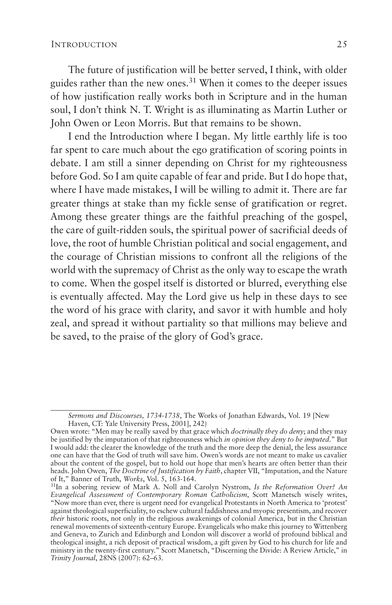The future of justification will be better served, I think, with older guides rather than the new ones.<sup>31</sup> When it comes to the deeper issues of how justification really works both in Scripture and in the human soul, I don't think N. T. Wright is as illuminating as Martin Luther or John Owen or Leon Morris. But that remains to be shown.

I end the Introduction where I began. My little earthly life is too far spent to care much about the ego gratification of scoring points in debate. I am still a sinner depending on Christ for my righteousness before God. So I am quite capable of fear and pride. But I do hope that, where I have made mistakes, I will be willing to admit it. There are far greater things at stake than my fickle sense of gratification or regret. Among these greater things are the faithful preaching of the gospel, the care of guilt-ridden souls, the spiritual power of sacrificial deeds of love, the root of humble Christian political and social engagement, and the courage of Christian missions to confront all the religions of the world with the supremacy of Christ as the only way to escape the wrath to come. When the gospel itself is distorted or blurred, everything else is eventually affected. May the Lord give us help in these days to see the word of his grace with clarity, and savor it with humble and holy zeal, and spread it without partiality so that millions may believe and be saved, to the praise of the glory of God's grace.

*Sermons and Discourses, 1734-1738*, The Works of Jonathan Edwards, Vol. 19 [New

Haven, CT: Yale University Press, 2001], 242) Owen wrote: "Men may be really saved by that grace which *doctrinally they do deny*; and they may be justified by the imputation of that righteousness which *in opinion they deny to be imputed*." But I would add: the clearer the knowledge of the truth and the more deep the denial, the less assurance one can have that the God of truth will save him. Owen's words are not meant to make us cavalier about the content of the gospel, but to hold out hope that men's hearts are often better than their heads. John Owen, *The Doctrine of Justification by Faith*, chapter VII, "Imputation, and the Nature of It," Banner of Truth, *Works*, Vol. 5, 163-164.

<sup>31</sup>In a sobering review of Mark A. Noll and Carolyn Nystrom, *Is the Reformation Over? An Evangelical Assessment of Contemporary Roman Catholicism*, Scott Manetsch wisely writes, "Now more than ever, there is urgent need for evangelical Protestants in North America to 'protest' against theological superficiality, to eschew cultural faddishness and myopic presentism, and recover *their* historic roots, not only in the religious awakenings of colonial America, but in the Christian renewal movements of sixteenth-century Europe. Evangelicals who make this journey to Wittenberg and Geneva, to Zurich and Edinburgh and London will discover a world of profound biblical and theological insight, a rich deposit of practical wisdom, a gift given by God to his church for life and ministry in the twenty-first century." Scott Manetsch, "Discerning the Divide: A Review Article," in *Trinity Journal*, 28NS (2007): 62–63.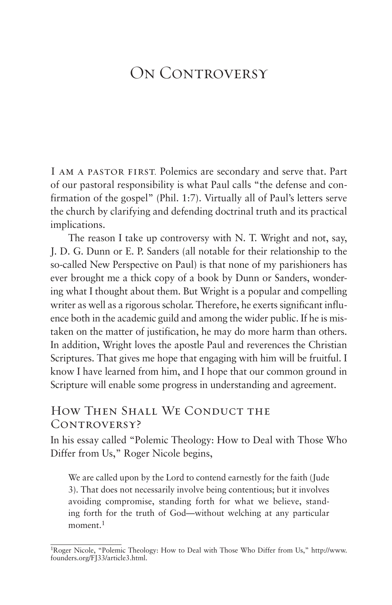# ON CONTROVERSY

I AM A PASTOR FIRST. Polemics are secondary and serve that. Part of our pastoral responsibility is what Paul calls "the defense and confirmation of the gospel" (Phil. 1:7). Virtually all of Paul's letters serve the church by clarifying and defending doctrinal truth and its practical implications.

The reason I take up controversy with N. T. Wright and not, say, J. D. G. Dunn or E. P. Sanders (all notable for their relationship to the so-called New Perspective on Paul) is that none of my parishioners has ever brought me a thick copy of a book by Dunn or Sanders, wondering what I thought about them. But Wright is a popular and compelling writer as well as a rigorous scholar. Therefore, he exerts significant influence both in the academic guild and among the wider public. If he is mistaken on the matter of justification, he may do more harm than others. In addition, Wright loves the apostle Paul and reverences the Christian Scriptures. That gives me hope that engaging with him will be fruitful. I know I have learned from him, and I hope that our common ground in Scripture will enable some progress in understanding and agreement.

## HOW THEN SHALL WE CONDUCT THE CONTROVERSY?

In his essay called "Polemic Theology: How to Deal with Those Who Differ from Us," Roger Nicole begins,

We are called upon by the Lord to contend earnestly for the faith (Jude 3). That does not necessarily involve being contentious; but it involves avoiding compromise, standing forth for what we believe, standing forth for the truth of God—without welching at any particular moment $1$ 

<sup>1</sup>Roger Nicole, "Polemic Theology: How to Deal with Those Who Differ from Us," http://www. founders.org/FJ33/article3.html.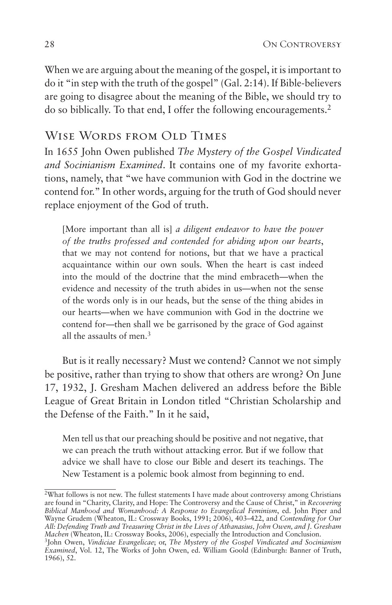When we are arguing about the meaning of the gospel, it is important to do it "in step with the truth of the gospel" (Gal. 2:14). If Bible-believers are going to disagree about the meaning of the Bible, we should try to do so biblically. To that end, I offer the following encouragements.<sup>2</sup>

### WISE WORDS FROM OLD TIMES

In 1655 John Owen published *The Mystery of the Gospel Vindicated and Socinianism Examined*. It contains one of my favorite exhortations, namely, that "we have communion with God in the doctrine we contend for." In other words, arguing for the truth of God should never replace enjoyment of the God of truth.

[More important than all is] *a diligent endeavor to have the power of the truths professed and contended for abiding upon our hearts*, that we may not contend for notions, but that we have a practical acquaintance within our own souls. When the heart is cast indeed into the mould of the doctrine that the mind embraceth—when the evidence and necessity of the truth abides in us—when not the sense of the words only is in our heads, but the sense of the thing abides in our hearts—when we have communion with God in the doctrine we contend for—then shall we be garrisoned by the grace of God against all the assaults of men.<sup>3</sup>

But is it really necessary? Must we contend? Cannot we not simply be positive, rather than trying to show that others are wrong? On June 17, 1932, J. Gresham Machen delivered an address before the Bible League of Great Britain in London titled "Christian Scholarship and the Defense of the Faith." In it he said,

Men tell us that our preaching should be positive and not negative, that we can preach the truth without attacking error. But if we follow that advice we shall have to close our Bible and desert its teachings. The New Testament is a polemic book almost from beginning to end.

2What follows is not new. The fullest statements I have made about controversy among Christians are found in "Charity, Clarity, and Hope: The Controversy and the Cause of Christ," in *Recovering Biblical Manhood and Womanhood: A Response to Evangelical Feminism*, ed. John Piper and Wayne Grudem (Wheaton, IL: Crossway Books, 1991; 2006), 403–422, and *Contending for Our All: Defending Truth and Treasuring Christ in the Lives of Athanasius, John Owen, and J. Gresham Machen* (Wheaton, IL: Crossway Books, 2006), especially the Introduction and Conclusion.

<sup>3</sup>John Owen, *Vindiciae Evangelicae*; or, *The Mystery of the Gospel Vindicated and Socinianism Examined*, Vol. 12, The Works of John Owen, ed. William Goold (Edinburgh: Banner of Truth, 1966), 52.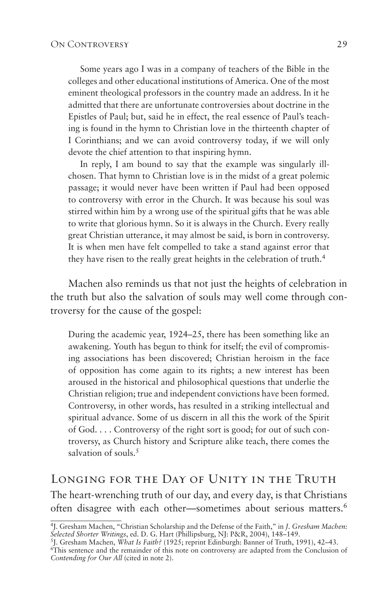Some years ago I was in a company of teachers of the Bible in the colleges and other educational institutions of America. One of the most eminent theological professors in the country made an address. In it he admitted that there are unfortunate controversies about doctrine in the Epistles of Paul; but, said he in effect, the real essence of Paul's teaching is found in the hymn to Christian love in the thirteenth chapter of I Corinthians; and we can avoid controversy today, if we will only devote the chief attention to that inspiring hymn.

In reply, I am bound to say that the example was singularly illchosen. That hymn to Christian love is in the midst of a great polemic passage; it would never have been written if Paul had been opposed to controversy with error in the Church. It was because his soul was stirred within him by a wrong use of the spiritual gifts that he was able to write that glorious hymn. So it is always in the Church. Every really great Christian utterance, it may almost be said, is born in controversy. It is when men have felt compelled to take a stand against error that they have risen to the really great heights in the celebration of truth.<sup>4</sup>

Machen also reminds us that not just the heights of celebration in the truth but also the salvation of souls may well come through controversy for the cause of the gospel:

During the academic year, 1924–25, there has been something like an awakening. Youth has begun to think for itself; the evil of compromising associations has been discovered; Christian heroism in the face of opposition has come again to its rights; a new interest has been aroused in the historical and philosophical questions that underlie the Christian religion; true and independent convictions have been formed. Controversy, in other words, has resulted in a striking intellectual and spiritual advance. Some of us discern in all this the work of the Spirit of God. . . . Controversy of the right sort is good; for out of such controversy, as Church history and Scripture alike teach, there comes the salvation of souls.<sup>5</sup>

### LONGING FOR THE DAY OF UNITY IN THE TRUTH

The heart-wrenching truth of our day, and every day, is that Christians often disagree with each other—sometimes about serious matters.<sup>6</sup>

<sup>4</sup>J. Gresham Machen, "Christian Scholarship and the Defense of the Faith," in *J. Gresham Machen: Selected Shorter Writings*, ed. D. G. Hart (Phillipsburg, NJ: P&R, 2004), 148–149.

<sup>5</sup>J. Gresham Machen, *What Is Faith?* (1925; reprint Edinburgh: Banner of Truth, 1991), 42–43.

<sup>6</sup>This sentence and the remainder of this note on controversy are adapted from the Conclusion of *Contending for Our All* (cited in note 2).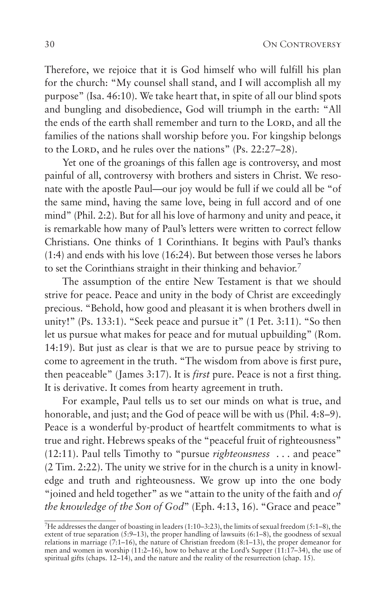Therefore, we rejoice that it is God himself who will fulfill his plan for the church: "My counsel shall stand, and I will accomplish all my purpose" (Isa. 46:10). We take heart that, in spite of all our blind spots and bungling and disobedience, God will triumph in the earth: "All the ends of the earth shall remember and turn to the LORD, and all the families of the nations shall worship before you. For kingship belongs to the LORD, and he rules over the nations" (Ps. 22:27–28).

Yet one of the groanings of this fallen age is controversy, and most painful of all, controversy with brothers and sisters in Christ. We resonate with the apostle Paul—our joy would be full if we could all be "of the same mind, having the same love, being in full accord and of one mind" (Phil. 2:2). But for all his love of harmony and unity and peace, it is remarkable how many of Paul's letters were written to correct fellow Christians. One thinks of 1 Corinthians. It begins with Paul's thanks (1:4) and ends with his love (16:24). But between those verses he labors to set the Corinthians straight in their thinking and behavior.7

The assumption of the entire New Testament is that we should strive for peace. Peace and unity in the body of Christ are exceedingly precious. "Behold, how good and pleasant it is when brothers dwell in unity!" (Ps. 133:1). "Seek peace and pursue it" (1 Pet. 3:11). "So then let us pursue what makes for peace and for mutual upbuilding" (Rom. 14:19). But just as clear is that we are to pursue peace by striving to come to agreement in the truth. "The wisdom from above is first pure, then peaceable" (James 3:17). It is *first* pure. Peace is not a first thing. It is derivative. It comes from hearty agreement in truth.

For example, Paul tells us to set our minds on what is true, and honorable, and just; and the God of peace will be with us (Phil. 4:8–9). Peace is a wonderful by-product of heartfelt commitments to what is true and right. Hebrews speaks of the "peaceful fruit of righteousness" (12:11). Paul tells Timothy to "pursue *righteousness* . . . and peace" (2 Tim. 2:22). The unity we strive for in the church is a unity in knowledge and truth and righteousness. We grow up into the one body "joined and held together" as we "attain to the unity of the faith and *of the knowledge of the Son of God*" (Eph. 4:13, 16). "Grace and peace"

<sup>&</sup>lt;sup>7</sup>He addresses the danger of boasting in leaders (1:10–3:23), the limits of sexual freedom (5:1–8), the extent of true separation  $(5:9-13)$ , the proper handling of lawsuits  $(6:1-8)$ , the goodness of sexual relations in marriage (7:1–16), the nature of Christian freedom (8:1–13), the proper demeanor for men and women in worship (11:2–16), how to behave at the Lord's Supper (11:17–34), the use of spiritual gifts (chaps.  $12-14$ ), and the nature and the reality of the resurrection (chap. 15).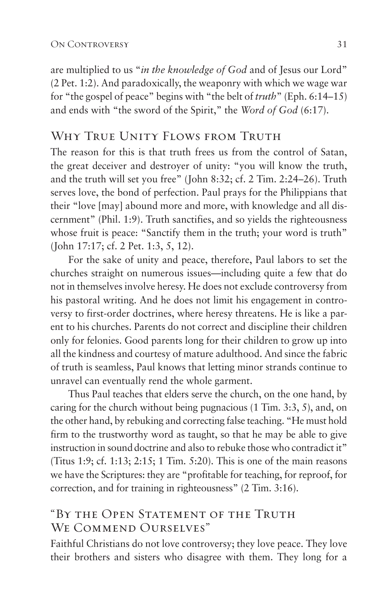are multiplied to us "*in the knowledge of God* and of Jesus our Lord" (2 Pet. 1:2). And paradoxically, the weaponry with which we wage war for "the gospel of peace" begins with "the belt of *truth*" (Eph. 6:14–15) and ends with "the sword of the Spirit," the *Word of God* (6:17).

## Why True Unity Flows from Truth

The reason for this is that truth frees us from the control of Satan, the great deceiver and destroyer of unity: "you will know the truth, and the truth will set you free" (John 8:32; cf. 2 Tim. 2:24–26). Truth serves love, the bond of perfection. Paul prays for the Philippians that their "love [may] abound more and more, with knowledge and all discernment" (Phil. 1:9). Truth sanctifies, and so yields the righteousness whose fruit is peace: "Sanctify them in the truth; your word is truth" (John 17:17; cf. 2 Pet. 1:3, 5, 12).

For the sake of unity and peace, therefore, Paul labors to set the churches straight on numerous issues—including quite a few that do not in themselves involve heresy. He does not exclude controversy from his pastoral writing. And he does not limit his engagement in controversy to first-order doctrines, where heresy threatens. He is like a parent to his churches. Parents do not correct and discipline their children only for felonies. Good parents long for their children to grow up into all the kindness and courtesy of mature adulthood. And since the fabric of truth is seamless, Paul knows that letting minor strands continue to unravel can eventually rend the whole garment.

Thus Paul teaches that elders serve the church, on the one hand, by caring for the church without being pugnacious (1 Tim. 3:3, 5), and, on the other hand, by rebuking and correcting false teaching. "He must hold firm to the trustworthy word as taught, so that he may be able to give instruction in sound doctrine and also to rebuke those who contradict it" (Titus 1:9; cf. 1:13; 2:15; 1 Tim. 5:20). This is one of the main reasons we have the Scriptures: they are "profitable for teaching, for reproof, for correction, and for training in righteousness" (2 Tim. 3:16).

# "BY THE OPEN STATEMENT OF THE TRUTH WE COMMEND OURSELVES"

Faithful Christians do not love controversy; they love peace. They love their brothers and sisters who disagree with them. They long for a